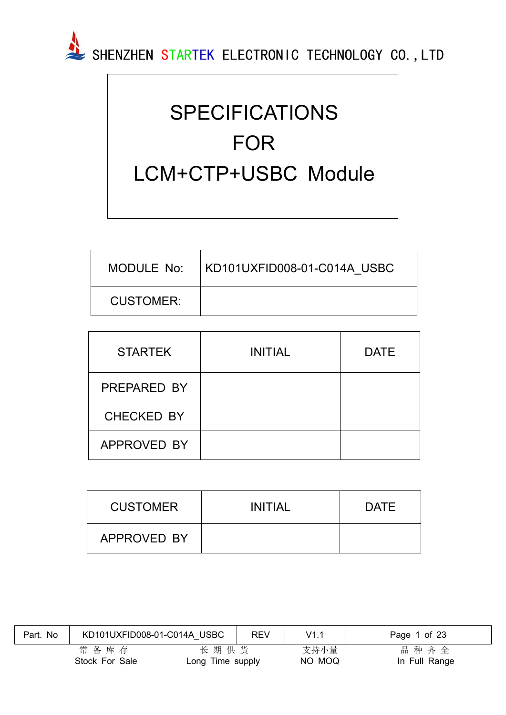

# SPECIFICATIONS FOR LCM+CTP+USBC Module

| MODULE No: | KD101UXFID008-01-C014A USBC |
|------------|-----------------------------|
| CUSTOMER:  |                             |

| <b>STARTEK</b>    | <b>INITIAL</b> | <b>DATE</b> |
|-------------------|----------------|-------------|
| PREPARED BY       |                |             |
| <b>CHECKED BY</b> |                |             |
| APPROVED BY       |                |             |

| <b>CUSTOMER</b> | <b>INITIAL</b> | <b>DATE</b> |
|-----------------|----------------|-------------|
| APPROVED BY     |                |             |

| No<br>Part. | KD101UXFID008-01-C014A USBC |                          | <b>REV</b> | V1.1           | Page 1 of 23          |
|-------------|-----------------------------|--------------------------|------------|----------------|-----------------------|
|             | 常备库存<br>Stock For Sale      | 长期供货<br>Long Time supply |            | 支持小量<br>NO MOQ | 品种齐全<br>In Full Range |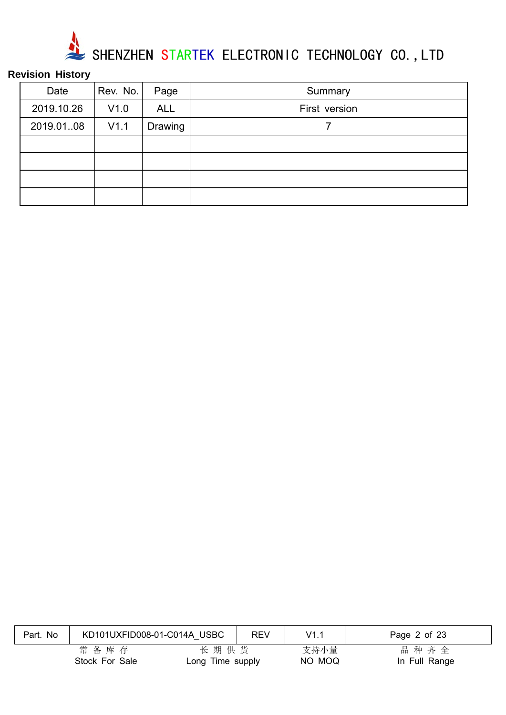

## **Revision History**

| Date       | Rev. No. | Page       | Summary       |
|------------|----------|------------|---------------|
| 2019.10.26 | V1.0     | <b>ALL</b> | First version |
| 2019.01.08 | V1.1     | Drawing    |               |
|            |          |            |               |
|            |          |            |               |
|            |          |            |               |
|            |          |            |               |

| Part. No | KD101UXFID008-01-C014A USBC |                          | <b>REV</b> | V1.1           | Page 2 of 23          |
|----------|-----------------------------|--------------------------|------------|----------------|-----------------------|
|          | 常备库存<br>Stock For Sale      | 长期供货<br>Long Time supply |            | 支持小量<br>NO MOQ | 品种齐全<br>In Full Range |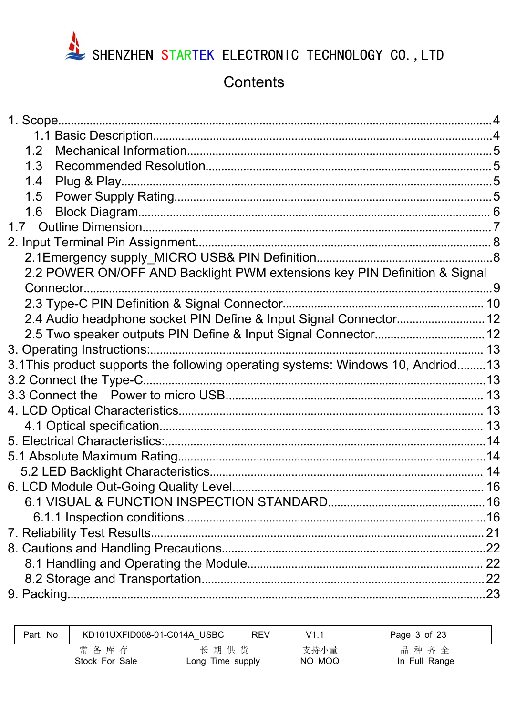

## Contents

| 1.2                                                                              |  |
|----------------------------------------------------------------------------------|--|
| 1.3                                                                              |  |
| 1.4                                                                              |  |
| 1.5                                                                              |  |
| 1.6                                                                              |  |
|                                                                                  |  |
|                                                                                  |  |
|                                                                                  |  |
| 2.2 POWER ON/OFF AND Backlight PWM extensions key PIN Definition & Signal        |  |
|                                                                                  |  |
|                                                                                  |  |
| 2.4 Audio headphone socket PIN Define & Input Signal Connector 12                |  |
|                                                                                  |  |
|                                                                                  |  |
| 3.1 This product supports the following operating systems: Windows 10, Andriod13 |  |
|                                                                                  |  |
|                                                                                  |  |
|                                                                                  |  |
|                                                                                  |  |
|                                                                                  |  |
|                                                                                  |  |
|                                                                                  |  |
|                                                                                  |  |
|                                                                                  |  |
|                                                                                  |  |
|                                                                                  |  |
|                                                                                  |  |
|                                                                                  |  |
|                                                                                  |  |
|                                                                                  |  |

| Part. No | KD101UXFID008-01-C014A USBC |                          | <b>REV</b> | V1.1           | Page 3 of 23          |
|----------|-----------------------------|--------------------------|------------|----------------|-----------------------|
|          | 常备库存<br>Stock For Sale      | 长期供货<br>Long Time supply |            | 支持小量<br>NO MOQ | 品种齐全<br>In Full Range |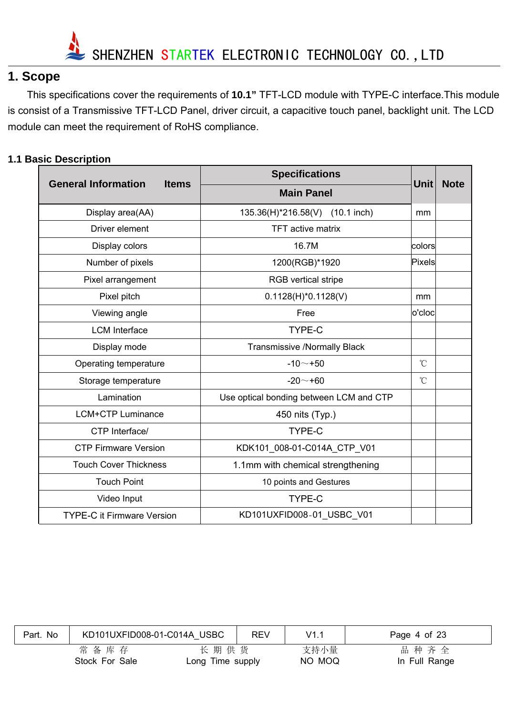

## **1. Scope**

This specifications cover the requirements of **10.1"** TFT-LCD module with TYPE-C interface.This module is consist of a Transmissive TFT-LCD Panel, driver circuit, a capacitive touch panel, backlight unit. The LCD module can meet the requirement of RoHS compliance.

#### **1.1 Basic Description**

|                                            | <b>Specifications</b>                   |                      |             |
|--------------------------------------------|-----------------------------------------|----------------------|-------------|
| <b>General Information</b><br><b>Items</b> | <b>Main Panel</b>                       | Unit                 | <b>Note</b> |
| Display area(AA)                           | 135.36(H)*216.58(V) (10.1 inch)         | mm                   |             |
| Driver element                             | <b>TFT</b> active matrix                |                      |             |
| Display colors                             | 16.7M                                   | colors               |             |
| Number of pixels                           | 1200(RGB)*1920                          | Pixels               |             |
| Pixel arrangement                          | <b>RGB</b> vertical stripe              |                      |             |
| Pixel pitch                                | $0.1128(H)^*0.1128(V)$                  | mm                   |             |
| Viewing angle                              | Free                                    | o'cloc               |             |
| <b>LCM</b> Interface                       | <b>TYPE-C</b>                           |                      |             |
| Display mode                               | <b>Transmissive /Normally Black</b>     |                      |             |
| Operating temperature                      | $-10 - +50$                             | $^{\circ}$ C         |             |
| Storage temperature                        | $-20 - +60$                             | $\mathrm{C}^{\circ}$ |             |
| Lamination                                 | Use optical bonding between LCM and CTP |                      |             |
| <b>LCM+CTP Luminance</b>                   | 450 nits (Typ.)                         |                      |             |
| CTP Interface/                             | TYPE-C                                  |                      |             |
| <b>CTP Firmware Version</b>                | KDK101_008-01-C014A_CTP_V01             |                      |             |
| <b>Touch Cover Thickness</b>               | 1.1mm with chemical strengthening       |                      |             |
| <b>Touch Point</b>                         | 10 points and Gestures                  |                      |             |
| Video Input                                | <b>TYPE-C</b>                           |                      |             |
| <b>TYPE-C it Firmware Version</b>          | KD101UXFID008-01_USBC_V01               |                      |             |

| Part. No | KD101UXFID008-01-C014A USBC |                          | <b>REV</b> | V1.1           | Page 4 of 23          |
|----------|-----------------------------|--------------------------|------------|----------------|-----------------------|
|          | 常备库存<br>Stock For Sale      | 长期供货<br>Long Time supply |            | 支持小量<br>NO MOQ | 品种齐全<br>In Full Range |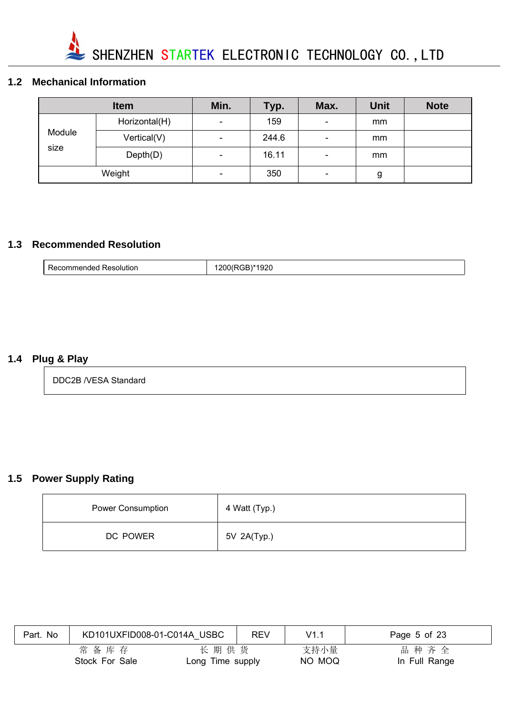

#### **1.2 Mechanical Information**

|        | <b>Item</b>   | Min.           | Typ.  | Max.                     | <b>Unit</b> | <b>Note</b> |
|--------|---------------|----------------|-------|--------------------------|-------------|-------------|
|        | Horizontal(H) | -              | 159   | $\qquad \qquad$          | mm          |             |
| Module | Vertical(V)   | ۰.             | 244.6 | $\overline{\phantom{a}}$ | mm          |             |
| size   | Depth(D)      | -              | 16.11 | $\overline{\phantom{0}}$ | mm          |             |
|        | Weight        | $\blacksquare$ | 350   | $\overline{\phantom{0}}$ | g           |             |

#### **1.3 Recommended Resolution**

| ותווור.<br>וני<br>тиненоес<br>. | 71<br>$- - -$<br>$\sim$<br>____ |
|---------------------------------|---------------------------------|
|---------------------------------|---------------------------------|

#### **1.4 Plug & Play**

DDC2B /VESA Standard

## **1.5 Power Supply Rating**

| <b>Power Consumption</b> | 4 Watt (Typ.) |
|--------------------------|---------------|
| DC POWER                 | 5V 2A(Typ.)   |

| Part. No | KD101UXFID008-01-C014A USBC |                          | REV | V1.1           | Page 5 of 23          |
|----------|-----------------------------|--------------------------|-----|----------------|-----------------------|
|          | 常备库存<br>Stock For Sale      | 长期供货<br>Long Time supply |     | 支持小量<br>NO MOQ | 品种齐全<br>In Full Range |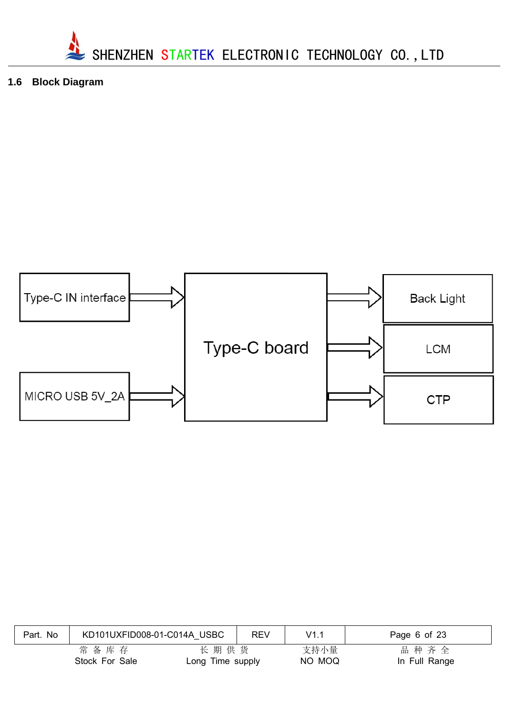

**1.6 Block Diagram**



| No<br>Part. | KD101UXFID008-01-C014A USBC |                          | <b>REV</b> | V1.1           | Page 6 of 23          |
|-------------|-----------------------------|--------------------------|------------|----------------|-----------------------|
|             | 常备库存<br>Stock For Sale      | 长期供货<br>Long Time supply |            | 支持小量<br>NO MOQ | 品种齐全<br>In Full Range |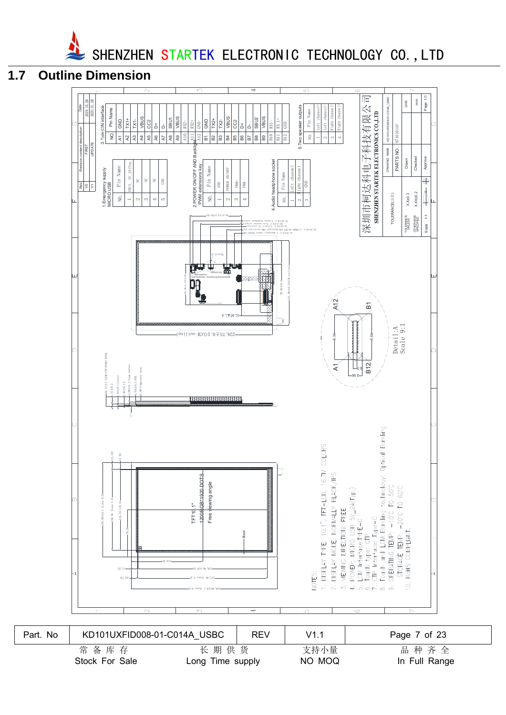

**1.7 Outline Dimension**



常 备 库 存 不 一 一 长 期 供 货 不 一 支持小量 不 一 品 种 齐 全 Stock For Sale **Long Time supply** NO MOQ **In Full Range**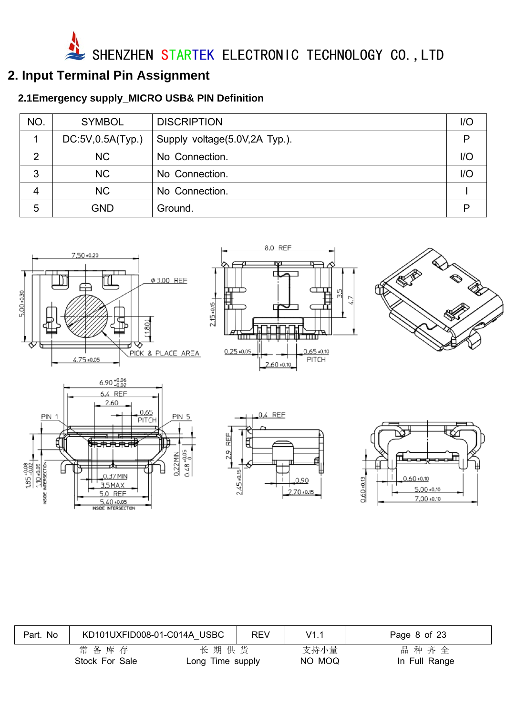SHENZHEN STARTEK ELECTRONIC TECHNOLOGY CO., LTD

## **2. Input Terminal Pin Assignment**

## **2.1Emergency supply\_MICRO USB& PIN Definition**

| NO. | <b>SYMBOL</b>    | <b>DISCRIPTION</b>            | 1/O |
|-----|------------------|-------------------------------|-----|
|     | DC:5V,0.5A(Typ.) | Supply voltage(5.0V,2A Typ.). | P   |
| 2   | <b>NC</b>        | No Connection.                | I/O |
| 3   | <b>NC</b>        | No Connection.                | 1/O |
| 4   | <b>NC</b>        | No Connection.                |     |
| 5   | <b>GND</b>       | Ground.                       | P   |



| Part. No | KD101UXFID008-01-C014A USBC |                          | <b>REV</b> | V1.1           | Page 8 of 23          |
|----------|-----------------------------|--------------------------|------------|----------------|-----------------------|
|          | 常备库存<br>Stock For Sale      | 长期供货<br>Long Time supply |            | 支持小量<br>NO MOQ | 品种齐全<br>In Full Range |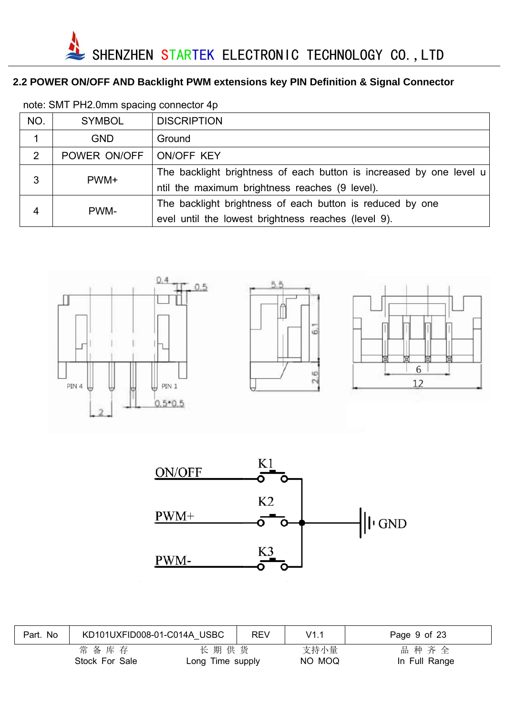### **2.2 POWER ON/OFF AND Backlight PWM extensions key PIN Definition & Signal Connector**

| NO. | <b>SYMBOL</b> | <b>DISCRIPTION</b>                                                  |
|-----|---------------|---------------------------------------------------------------------|
|     | <b>GND</b>    | Ground                                                              |
| 2   | POWER ON/OFF  | ON/OFF KEY                                                          |
| 3   | PWM+          | The backlight brightness of each button is increased by one level u |
|     |               | ntil the maximum brightness reaches (9 level).                      |
| 4   | PWM-          | The backlight brightness of each button is reduced by one           |
|     |               | evel until the lowest brightness reaches (level 9).                 |

note: SMT PH2.0mm spacing connector 4p





| Part. No | KD101UXFID008-01-C014A USBC |                          | <b>REV</b> | V1.1           | Page 9 of 23          |
|----------|-----------------------------|--------------------------|------------|----------------|-----------------------|
|          | 常备库存<br>Stock For Sale      | 长期供货<br>Long Time supply |            | 支持小量<br>NO MOQ | 品种齐全<br>In Full Range |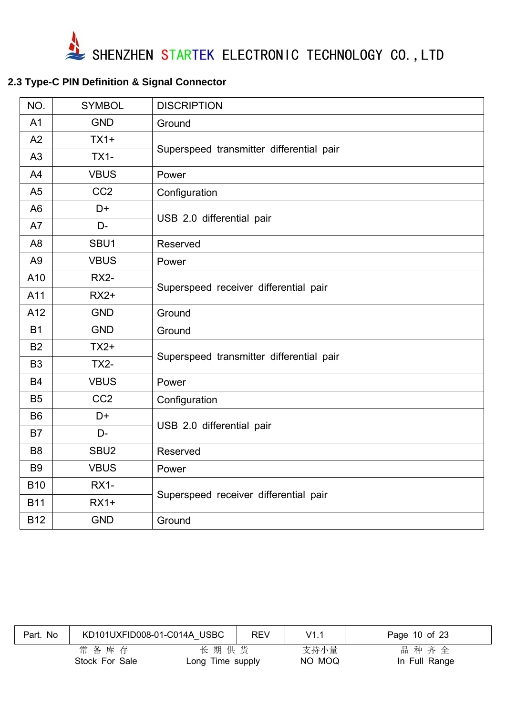## **2.3 Type-C PIN Definition & Signal Connector**

| NO.            | <b>SYMBOL</b>    | <b>DISCRIPTION</b>                       |  |  |  |  |
|----------------|------------------|------------------------------------------|--|--|--|--|
| A <sub>1</sub> | <b>GND</b>       | Ground                                   |  |  |  |  |
| A2             | $TX1+$           |                                          |  |  |  |  |
| A3             | <b>TX1-</b>      | Superspeed transmitter differential pair |  |  |  |  |
| A4             | <b>VBUS</b>      | Power                                    |  |  |  |  |
| A <sub>5</sub> | CC <sub>2</sub>  | Configuration                            |  |  |  |  |
| A <sub>6</sub> | D+               |                                          |  |  |  |  |
| A7             | D-               | USB 2.0 differential pair                |  |  |  |  |
| A <sub>8</sub> | SBU1             | Reserved                                 |  |  |  |  |
| A <sub>9</sub> | <b>VBUS</b>      | Power                                    |  |  |  |  |
| A10            | <b>RX2-</b>      |                                          |  |  |  |  |
| A11            | $RX2+$           | Superspeed receiver differential pair    |  |  |  |  |
| A12            | <b>GND</b>       | Ground                                   |  |  |  |  |
| <b>B1</b>      | <b>GND</b>       | Ground                                   |  |  |  |  |
| <b>B2</b>      | $TX2+$           |                                          |  |  |  |  |
| B <sub>3</sub> | <b>TX2-</b>      | Superspeed transmitter differential pair |  |  |  |  |
| <b>B4</b>      | <b>VBUS</b>      | Power                                    |  |  |  |  |
| B <sub>5</sub> | CC <sub>2</sub>  | Configuration                            |  |  |  |  |
| B <sub>6</sub> | D+               |                                          |  |  |  |  |
| <b>B7</b>      | D-               | USB 2.0 differential pair                |  |  |  |  |
| B <sub>8</sub> | SBU <sub>2</sub> | Reserved                                 |  |  |  |  |
| <b>B9</b>      | <b>VBUS</b>      | Power                                    |  |  |  |  |
| <b>B10</b>     | <b>RX1-</b>      |                                          |  |  |  |  |
| <b>B11</b>     | $RX1+$           | Superspeed receiver differential pair    |  |  |  |  |
| <b>B12</b>     | <b>GND</b>       | Ground                                   |  |  |  |  |

| Part. No | KD101UXFID008-01-C014A USBC |                          | <b>REV</b> | V1.1           | Page 10 of 23         |
|----------|-----------------------------|--------------------------|------------|----------------|-----------------------|
|          | 常备库存<br>Stock For Sale      | 长期供货<br>Long Time supply |            | 支持小量<br>NO MOQ | 品种齐全<br>In Full Range |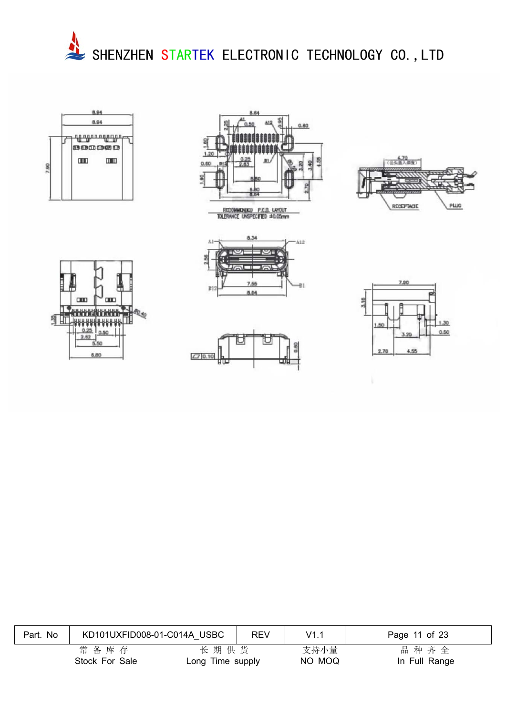















| Part. No | KD101UXFID008-01-C014A USBC |                          | <b>REV</b> | V1.1           | Page 11 of 23         |
|----------|-----------------------------|--------------------------|------------|----------------|-----------------------|
|          | 常备库存<br>Stock For Sale      | 长期供货<br>Long Time supply |            | 支持小量<br>NO MOQ | 品种齐全<br>In Full Range |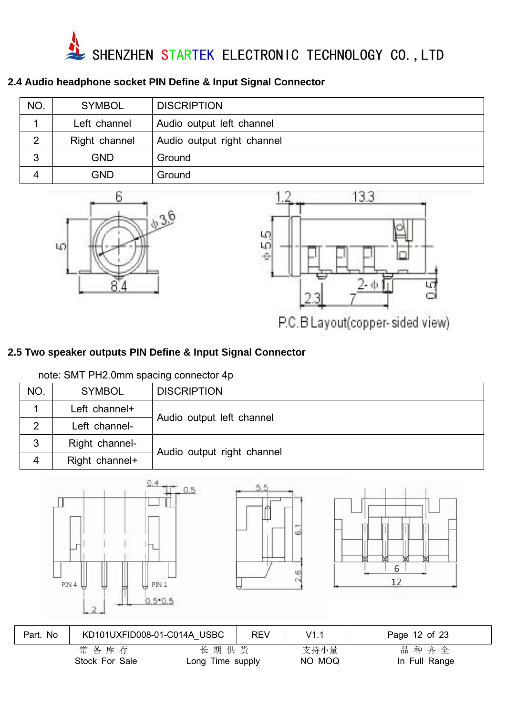

#### **2.4 Audio headphone socket PIN Define & Input Signal Connector**

| NO. | <b>SYMBOL</b> | <b>DISCRIPTION</b>         |
|-----|---------------|----------------------------|
|     | Left channel  | Audio output left channel  |
|     | Right channel | Audio output right channel |
| 3   | <b>GND</b>    | Ground                     |
|     | GND           | Ground                     |





P.C.B Layout(copper-sided view)

#### **2.5 Two speaker outputs PIN Define & Input Signal Connector**

#### note: SMT PH2.0mm spacing connector 4p

| NO. | <b>SYMBOL</b>  | <b>DISCRIPTION</b>         |  |  |
|-----|----------------|----------------------------|--|--|
|     | Left channel+  | Audio output left channel  |  |  |
|     | Left channel-  |                            |  |  |
| 3   | Right channel- |                            |  |  |
| 4   | Right channel+ | Audio output right channel |  |  |







| Part. No | KD101UXFID008-01-C014A USBC |                          | <b>REV</b> | V1.1           | Page 12 of 23         |
|----------|-----------------------------|--------------------------|------------|----------------|-----------------------|
|          | 常备库存<br>Stock For Sale      | 长期供货<br>Long Time supply |            | 支持小量<br>NO MOQ | 品种齐全<br>In Full Range |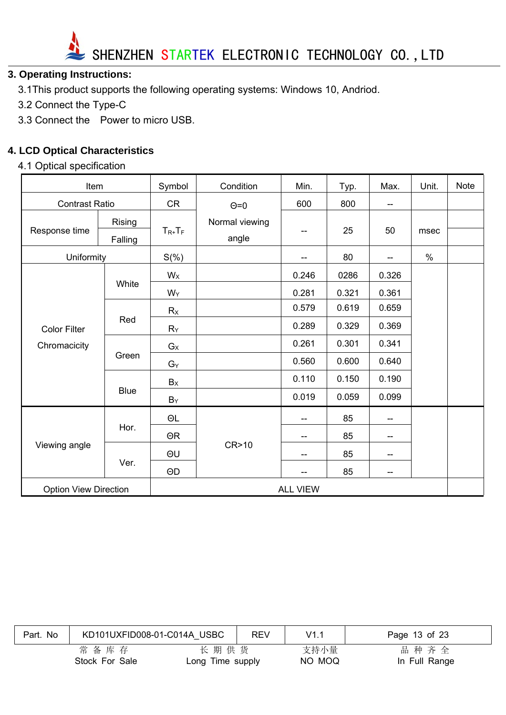

#### **3. Operating Instructions:**

- 3.1This product supports the following operating systems: Windows 10, Andriod.
- 3.2 Connect the Type-C
- 3.3 Connect the Power to micro USB.

#### **4. LCD Optical Characteristics**

#### 4.1 Optical specification

| Item                         |             | Symbol      | Condition       | Min.  | Typ.  | Max.                     | Unit. | <b>Note</b> |
|------------------------------|-------------|-------------|-----------------|-------|-------|--------------------------|-------|-------------|
| <b>Contrast Ratio</b>        |             | <b>CR</b>   | $\Theta$ =0     | 600   | 800   | $\overline{\phantom{a}}$ |       |             |
| Response time                | Rising      | $T_{R+}T_F$ | Normal viewing  | --    | 25    | 50                       | msec  |             |
|                              | Falling     |             | angle           |       |       |                          |       |             |
| Uniformity                   |             | $S(\%)$     |                 | --    | 80    | $-$                      | $\%$  |             |
|                              |             | $W_X$       |                 | 0.246 | 0286  | 0.326                    |       |             |
|                              | White       | $W_Y$       |                 | 0.281 | 0.321 | 0.361                    |       |             |
|                              |             | Rx          |                 | 0.579 | 0.619 | 0.659                    |       |             |
| <b>Color Filter</b>          | Red         | $R_Y$       |                 | 0.289 | 0.329 | 0.369                    |       |             |
| Chromacicity                 |             | $G_X$       |                 | 0.261 | 0.301 | 0.341                    |       |             |
|                              | Green       | $G_Y$       |                 | 0.560 | 0.600 | 0.640                    |       |             |
|                              |             | Bx          |                 | 0.110 | 0.150 | 0.190                    |       |             |
|                              | <b>Blue</b> | $B_Y$       |                 | 0.019 | 0.059 | 0.099                    |       |             |
|                              |             | $\Theta L$  |                 | --    | 85    | $\qquad \qquad -$        |       |             |
|                              | Hor.        | $\Theta$ R  |                 | --    | 85    | $-$                      |       |             |
| Viewing angle                |             | ΘU          | CR>10           | --    | 85    | $-$                      |       |             |
|                              | Ver.        | $\Theta$ D  |                 |       | 85    | $-$                      |       |             |
| <b>Option View Direction</b> |             |             | <b>ALL VIEW</b> |       |       |                          |       |             |

| Part. No | KD101UXFID008-01-C014A USBC |                          | <b>REV</b> | V1.1           | Page 13 of 23         |
|----------|-----------------------------|--------------------------|------------|----------------|-----------------------|
|          | 常备库存<br>Stock For Sale      | 长期供货<br>Long Time supply |            | 支持小量<br>NO MOQ | 品种齐全<br>In Full Range |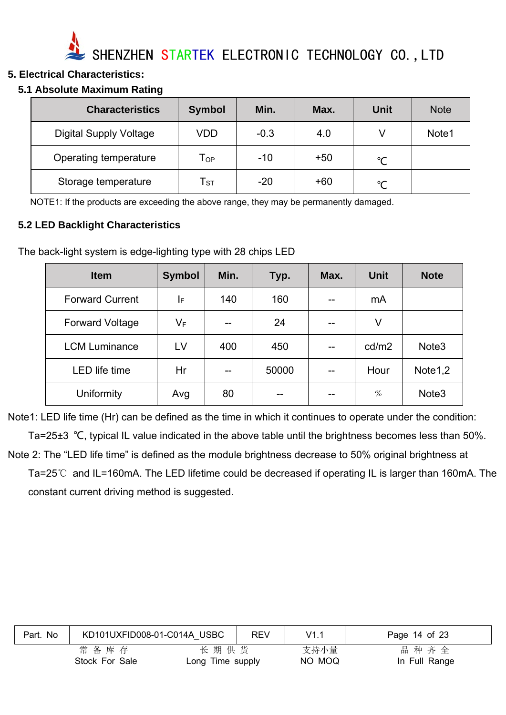

#### **5. Electrical Characteristics:**

#### **5.1 Absolute Maximum Rating**

| <b>Characteristics</b>        | <b>Symbol</b>              | Min.   | Max.  | Unit          | <b>Note</b> |
|-------------------------------|----------------------------|--------|-------|---------------|-------------|
| <b>Digital Supply Voltage</b> | VDD                        | $-0.3$ | 4.0   |               | Note1       |
| Operating temperature         | $\mathsf{T}_{\mathsf{OP}}$ | $-10$  | $+50$ | $\mathcal{C}$ |             |
| Storage temperature           | ${\sf T}_{\sf ST}$         | $-20$  | +60   | $\sim$        |             |

NOTE1: If the products are exceeding the above range, they may be permanently damaged.

#### **5.2 LED Backlight Characteristics**

The back-light system is edge-lighting type with 28 chips LED

| <b>Item</b>            | <b>Symbol</b> | Min. | Typ.  | Max. | <b>Unit</b> | <b>Note</b>         |
|------------------------|---------------|------|-------|------|-------------|---------------------|
| <b>Forward Current</b> | I⊧            | 140  | 160   |      | mA          |                     |
| <b>Forward Voltage</b> | $V_F$         | $-$  | 24    |      | V           |                     |
| <b>LCM Luminance</b>   | LV            | 400  | 450   |      | cd/m2       | Note <sub>3</sub>   |
| <b>LED</b> life time   | Hr            | $-$  | 50000 |      | Hour        | Note <sub>1,2</sub> |
| Uniformity             | Avg           | 80   |       |      | $\%$        | Note <sub>3</sub>   |

Note1: LED life time (Hr) can be defined as the time in which it continues to operate under the condition: Ta=25±3 ℃, typical IL value indicated in the above table until the brightness becomes less than 50%. Note 2: The "LED life time" is defined as the module brightness decrease to 50% original brightness at Ta=25℃ and IL=160mA. The LED lifetime could be decreased if operating IL is larger than 160mA. The constant current driving method is suggested.

| Part. No | KD101UXFID008-01-C014A USBC |                  | <b>REV</b> | V1.1   | Page 14 of 23 |
|----------|-----------------------------|------------------|------------|--------|---------------|
|          | 常备库存                        | 长期供货             |            | 支持小量   | 品种齐全          |
|          | Stock For Sale              | Long Time supply |            | NO MOQ | In Full Range |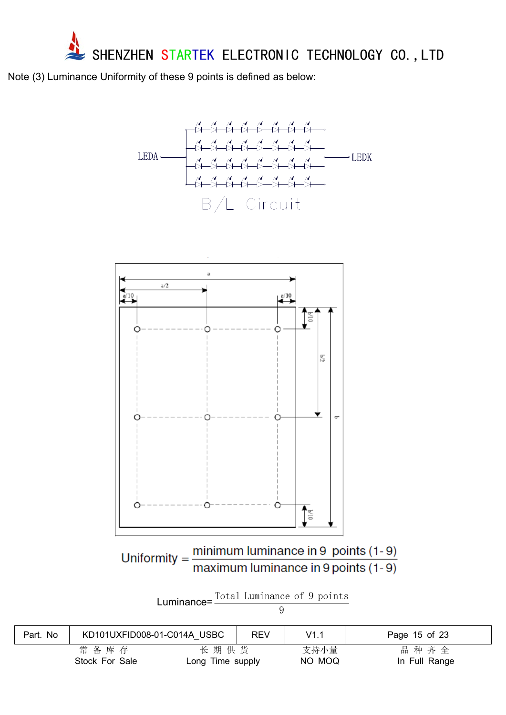

Note (3) Luminance Uniformity of these 9 points is defined as below:





Uniformity =  $\frac{\text{minimum} \text{ luminance in 9 points (1-9)}}{\text{maximum} \text{ luminance in 9 points (1-9)}}$ 

| Luminance= $\frac{10 \tan \tan \tan \tan \theta}{1000}$ | Total Luminance of 9 points |  |  |
|---------------------------------------------------------|-----------------------------|--|--|
|                                                         |                             |  |  |

| ٠ |  |
|---|--|
|   |  |

| No<br>Part. | KD101UXFID008-01-C014A USBC |                  | <b>REV</b> | V1.1   | Page 15 of 23 |
|-------------|-----------------------------|------------------|------------|--------|---------------|
|             | 常备库存                        | 长期供货             |            | 支持小量   | 品种齐全          |
|             | Stock For Sale              | Long Time supply |            | NO MOQ | In Full Range |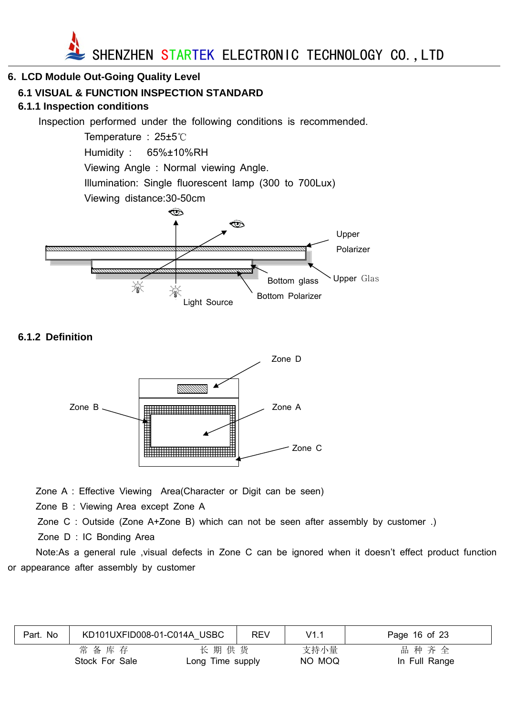

#### **6. LCD Module Out-Going Quality Level**

#### **6.1 VISUAL & FUNCTION INSPECTION STANDARD**

#### **6.1.1 Inspection conditions**

Inspection performed under the following conditions is recommended.

Temperature : 25±5℃ Humidity : 65%±10%RH Viewing Angle : Normal viewing Angle. Illumination: Single fluorescent lamp (300 to 700Lux) Viewing distance:30-50cm ক্ত



#### **6.1.2 Definition**



Zone A : Effective Viewing Area(Character or Digit can be seen)

Zone B : Viewing Area except Zone A

Zone C : Outside (Zone A+Zone B) which can not be seen after assembly by customer .)

Zone D : IC Bonding Area

Note:As a general rule ,visual defects in Zone C can be ignored when it doesn't effect product function or appearance after assembly by customer

|      |                | REV                         | V1.1                     | Page 16 of 23         |
|------|----------------|-----------------------------|--------------------------|-----------------------|
| 常备库存 |                |                             | 支持小量                     | 品种齐全<br>In Full Range |
|      | Stock For Sale | KD101UXFID008-01-C014A USBC | 长期供货<br>Long Time supply | NO MOQ                |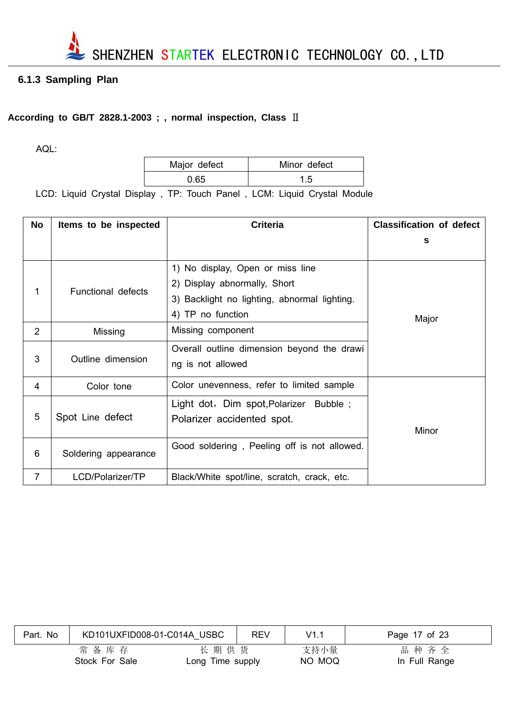

#### **6.1.3 Sampling Plan**

#### **According to GB/T 2828.1-2003 ; , normal inspection, Class** Ⅱ

AQL:

| Major defect | Minor defect |
|--------------|--------------|
| ი 65         |              |

LCD: Liquid Crystal Display , TP: Touch Panel , LCM: Liquid Crystal Module

| <b>No</b>      | Items to be inspected     | <b>Criteria</b>                                                                                                                       | <b>Classification of defect</b> |
|----------------|---------------------------|---------------------------------------------------------------------------------------------------------------------------------------|---------------------------------|
|                |                           |                                                                                                                                       | s                               |
| 1              | <b>Functional defects</b> | 1) No display, Open or miss line<br>2) Display abnormally, Short<br>3) Backlight no lighting, abnormal lighting.<br>4) TP no function | Major                           |
| $\overline{2}$ | Missing                   | Missing component                                                                                                                     |                                 |
| 3              | Outline dimension         | Overall outline dimension beyond the drawi<br>ng is not allowed                                                                       |                                 |
| 4              | Color tone                | Color unevenness, refer to limited sample                                                                                             |                                 |
| 5              | Spot Line defect          | Light dot, Dim spot, Polarizer Bubble;<br>Polarizer accidented spot.                                                                  | Minor                           |
| 6              | Soldering appearance      | Good soldering, Peeling off is not allowed.                                                                                           |                                 |
| $\overline{7}$ | LCD/Polarizer/TP          | Black/White spot/line, scratch, crack, etc.                                                                                           |                                 |

| Part. No | KD101UXFID008-01-C014A USBC |                          | <b>REV</b> | V1.1           | Page 17 of 23         |
|----------|-----------------------------|--------------------------|------------|----------------|-----------------------|
|          | 常备库存<br>Stock For Sale      | 长期供货<br>Long Time supply |            | 支持小量<br>NO MOQ | 品种齐全<br>In Full Range |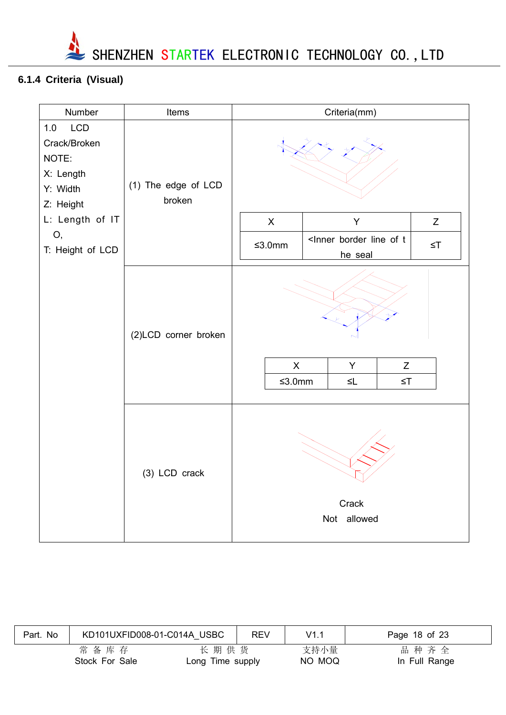

## **6.1.4 Criteria (Visual)**

| Number                                                                                       | Items                         | Criteria(mm)                                                                                                           |
|----------------------------------------------------------------------------------------------|-------------------------------|------------------------------------------------------------------------------------------------------------------------|
| LCD<br>1.0<br>Crack/Broken<br>NOTE:<br>X: Length<br>Y: Width<br>Z: Height<br>L: Length of IT | (1) The edge of LCD<br>broken | Y<br>$\boldsymbol{\mathsf{X}}$<br>Z                                                                                    |
| О,<br>T: Height of LCD                                                                       |                               | <lnner border="" line="" of="" t<br=""><math display="inline">≤3.0mm</math><br/><math>\leq</math>T<br/>he seal</lnner> |
|                                                                                              | (2)LCD corner broken          | $\mathsf{X}$<br>Y<br>Z<br>$≤3.0mm$<br>$\leq$ L<br>$\leq$ T                                                             |
|                                                                                              | (3) LCD crack                 | Crack<br>Not allowed                                                                                                   |

| Part. No | KD101UXFID008-01-C014A USBC |                          | <b>REV</b> | V1.1           | Page 18 of 23         |
|----------|-----------------------------|--------------------------|------------|----------------|-----------------------|
|          | 常备库存<br>Stock For Sale      | 长期供货<br>Long Time supply |            | 支持小量<br>NO MOQ | 品种齐全<br>In Full Range |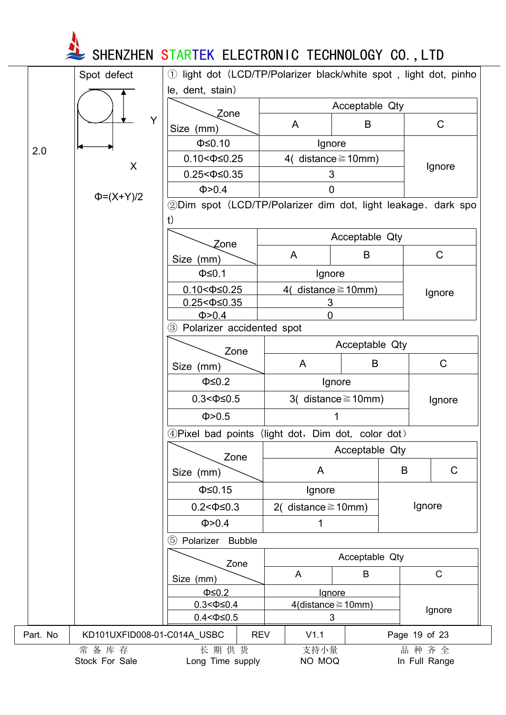**SHENZHEN STARTEK ELECTRONIC TECHNOLOGY CO.,LTD** 

|          | Spot defect                 | (1)                                                          |                          |                             | light dot (LCD/TP/Polarizer black/white spot, light dot, pinho |
|----------|-----------------------------|--------------------------------------------------------------|--------------------------|-----------------------------|----------------------------------------------------------------|
|          |                             | le, dent, stain)                                             |                          |                             |                                                                |
|          |                             | Zone                                                         |                          | Acceptable Qty              |                                                                |
|          | Y                           | Size (mm)                                                    | $\mathsf{A}$             | B                           | C                                                              |
|          |                             | $\Phi \leq 0.10$                                             | Ignore                   |                             |                                                                |
| 2.0      |                             | $0.10 < \Phi \leq 0.25$                                      | 4( distance $\geq$ 10mm) |                             |                                                                |
|          | X                           | $0.25 < \Phi \leq 0.35$                                      | 3                        |                             | Ignore                                                         |
|          |                             | Φ > 0.4                                                      | 0                        |                             |                                                                |
|          | $\Phi = (X+Y)/2$            | 2Dim spot (LCD/TP/Polarizer dim dot, light leakage, dark spo |                          |                             |                                                                |
|          |                             | t)                                                           |                          |                             |                                                                |
|          |                             |                                                              |                          | Acceptable Qty              |                                                                |
|          |                             | Zone                                                         | A                        | B                           | C                                                              |
|          |                             | Size (mm)                                                    |                          |                             |                                                                |
|          |                             | $\Phi \leq 0.1$                                              | Ignore                   |                             |                                                                |
|          |                             | $0.10 < \Phi \le 0.25$                                       | 4( distance $\geq$ 10mm) |                             | Ignore                                                         |
|          |                             | $0.25 < \Phi \leq 0.35$<br>Φ > 0.4                           | 3<br>$\overline{0}$      |                             |                                                                |
|          |                             | Polarizer accidented spot<br>$\circled{3}$                   |                          |                             |                                                                |
|          |                             | Acceptable Qty                                               |                          |                             |                                                                |
|          |                             | Zone                                                         |                          |                             |                                                                |
|          |                             | Size (mm)                                                    | A                        | B                           | $\mathsf C$                                                    |
|          |                             | $\Phi \leq 0.2$                                              |                          | Ignore                      |                                                                |
|          |                             | $0.3 < \Phi \leq 0.5$                                        |                          | 3( distance $\geq$ 10mm)    | Ignore                                                         |
|          |                             | Φ > 0.5                                                      |                          |                             |                                                                |
|          |                             | 4 Pixel bad points (light dot, Dim dot, color dot)           |                          |                             |                                                                |
|          |                             |                                                              |                          | Acceptable Qty              |                                                                |
|          |                             | Zone                                                         | A                        |                             | $\mathsf C$<br>B                                               |
|          |                             | Size (mm)                                                    |                          |                             |                                                                |
|          |                             | $\Phi \leq 0.15$                                             | Ignore                   |                             |                                                                |
|          |                             | $0.2 < \Phi \leq 0.3$                                        | 2( distance $\geq$ 10mm) |                             | Ignore                                                         |
|          |                             | Φ > 0.4                                                      | 1                        |                             |                                                                |
|          |                             | (5)<br>Polarizer<br><b>Bubble</b>                            |                          |                             |                                                                |
|          |                             | Zone                                                         |                          | Acceptable Qty              |                                                                |
|          |                             | Size (mm)                                                    | A                        | B                           | $\mathsf{C}$                                                   |
|          |                             | $\Phi \leq 0.2$                                              | Ignore                   |                             |                                                                |
|          |                             | $0.3 < \Phi \leq 0.4$                                        |                          | $4$ (distance $\geq 10$ mm) |                                                                |
|          |                             | $0.4 < \Phi \le 0.5$                                         | 3                        |                             | Ignore                                                         |
| Part. No | KD101UXFID008-01-C014A_USBC | <b>REV</b>                                                   | V1.1                     |                             | Page 19 of 23                                                  |
|          | 常备库存<br>Stock For Sale      | 长期供货<br>Long Time supply                                     | 支持小量<br>NO MOQ           |                             | 品种齐全<br>In Full Range                                          |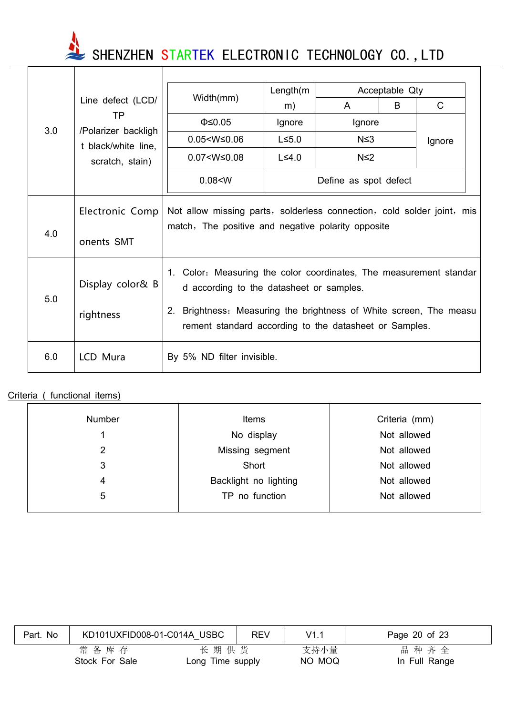SHENZHEN STARTEK ELECTRONIC TECHNOLOGY CO., LTD

|     |                                            |                                                                                                                                                                                                                                                | Length(m)    |            | Acceptable Qty |        |  |
|-----|--------------------------------------------|------------------------------------------------------------------------------------------------------------------------------------------------------------------------------------------------------------------------------------------------|--------------|------------|----------------|--------|--|
|     | Line defect (LCD/                          | Width(mm)                                                                                                                                                                                                                                      | m)           | A          | B              | C      |  |
|     | ТP                                         | $\Phi \leq 0.05$                                                                                                                                                                                                                               | Ignore       | Ignore     |                |        |  |
| 3.0 | /Polarizer backligh<br>t black/white line, | $0.05 < W \leq 0.06$                                                                                                                                                                                                                           | $L \le 5.0$  | $N \leq 3$ |                | Ignore |  |
|     | scratch, stain)                            | $0.07 < W \leq 0.08$                                                                                                                                                                                                                           | $L \leq 4.0$ | $N \leq 2$ |                |        |  |
|     |                                            | 0.08 < W<br>Define as spot defect                                                                                                                                                                                                              |              |            |                |        |  |
|     | Electronic Comp                            | Not allow missing parts, solderless connection, cold solder joint, mis<br>match, The positive and negative polarity opposite                                                                                                                   |              |            |                |        |  |
| 4.0 | onents SMT                                 |                                                                                                                                                                                                                                                |              |            |                |        |  |
| 5.0 | Display color& B<br>rightness              | 1. Color: Measuring the color coordinates, The measurement standar<br>d according to the datasheet or samples.<br>2. Brightness: Measuring the brightness of White screen, The measu<br>rement standard according to the datasheet or Samples. |              |            |                |        |  |
| 6.0 | LCD Mura                                   | By 5% ND filter invisible.                                                                                                                                                                                                                     |              |            |                |        |  |

#### Criteria ( functional items)

| <b>Number</b> | <b>Items</b>          | Criteria (mm) |
|---------------|-----------------------|---------------|
|               | No display            | Not allowed   |
| 2             | Missing segment       | Not allowed   |
| 3             | Short                 | Not allowed   |
| 4             | Backlight no lighting | Not allowed   |
| 5             | TP no function        | Not allowed   |
|               |                       |               |

| Part. No | KD101UXFID008-01-C014A USBC |                          | <b>REV</b> | V1.1           | Page 20 of 23         |
|----------|-----------------------------|--------------------------|------------|----------------|-----------------------|
|          | 常备库存<br>Stock For Sale      | 长期供货<br>Long Time supply |            | 支持小量<br>NO MOQ | 品种齐全<br>In Full Range |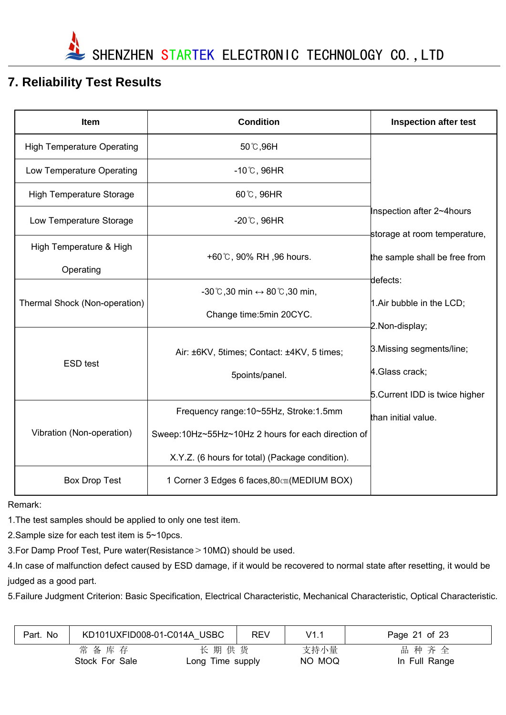

## **7. Reliability Test Results**

| <b>Item</b>                       | <b>Condition</b>                                                 | <b>Inspection after test</b>                                  |
|-----------------------------------|------------------------------------------------------------------|---------------------------------------------------------------|
| <b>High Temperature Operating</b> | 50 ℃,96H                                                         |                                                               |
| Low Temperature Operating         | $-10^{\circ}$ C, 96HR                                            |                                                               |
| <b>High Temperature Storage</b>   | 60°C, 96HR                                                       |                                                               |
| Low Temperature Storage           | $-20^{\circ}$ C, 96HR                                            | Inspection after 2~4hours                                     |
| High Temperature & High           | +60°C, 90% RH, 96 hours.                                         | storage at room temperature,<br>the sample shall be free from |
| Operating                         |                                                                  | defects:                                                      |
| Thermal Shock (Non-operation)     | $-30^{\circ}$ C,30 min $\leftrightarrow$ 80 $^{\circ}$ C,30 min, | 1. Air bubble in the LCD;                                     |
|                                   | Change time: 5min 20CYC.                                         | 2. Non-display;                                               |
| <b>ESD</b> test                   | Air: ±6KV, 5times; Contact: ±4KV, 5 times;                       | 3. Missing segments/line;                                     |
|                                   | 5points/panel.                                                   | 4. Glass crack;                                               |
|                                   |                                                                  | 5. Current IDD is twice higher                                |
|                                   | Frequency range: 10~55Hz, Stroke: 1.5mm                          | than initial value.                                           |
| Vibration (Non-operation)         | Sweep:10Hz~55Hz~10Hz 2 hours for each direction of               |                                                               |
|                                   | X.Y.Z. (6 hours for total) (Package condition).                  |                                                               |
| <b>Box Drop Test</b>              | 1 Corner 3 Edges 6 faces, 80cm (MEDIUM BOX)                      |                                                               |

Remark:

1.The test samples should be applied to only one test item.

2.Sample size for each test item is 5~10pcs.

3.For Damp Proof Test, Pure water(Resistance>10MΩ) should be used.

4.In case of malfunction defect caused by ESD damage, if it would be recovered to normal state after resetting, it would be judged as a good part.

5.Failure Judgment Criterion: Basic Specification, Electrical Characteristic, Mechanical Characteristic, Optical Characteristic.

| No<br>Part. | KD101UXFID008-01-C014A USBC |                          | <b>REV</b> | V1.1           | Page 21 of 23         |
|-------------|-----------------------------|--------------------------|------------|----------------|-----------------------|
|             | 常备库存<br>Stock For Sale      | 长期供货<br>Long Time supply |            | 支持小量<br>NO MOQ | 品种齐全<br>In Full Range |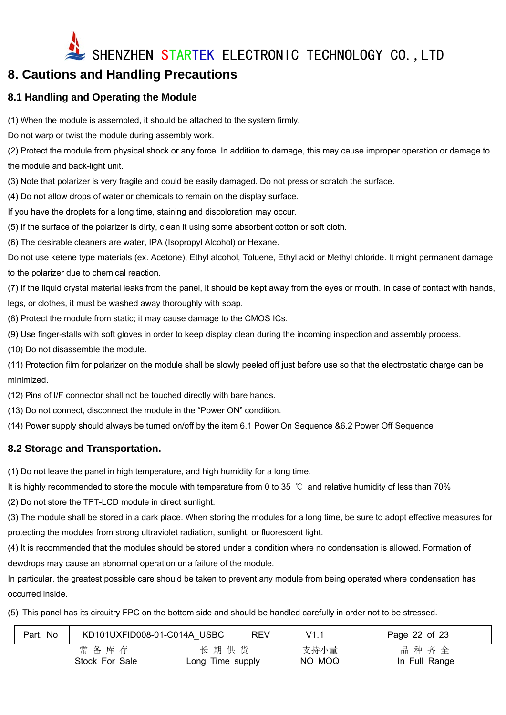

## **8. Cautions and Handling Precautions**

#### **8.1 Handling and Operating the Module**

(1) When the module is assembled, it should be attached to the system firmly.

Do not warp or twist the module during assembly work.

(2) Protect the module from physical shock or any force. In addition to damage, this may cause improper operation or damage to the module and back-light unit.

(3) Note that polarizer is very fragile and could be easily damaged. Do not press or scratch the surface.

(4) Do not allow drops of water or chemicals to remain on the display surface.

If you have the droplets for a long time, staining and discoloration may occur.

(5) If the surface of the polarizer is dirty, clean it using some absorbent cotton or soft cloth.

(6) The desirable cleaners are water, IPA (Isopropyl Alcohol) or Hexane.

Do not use ketene type materials (ex. Acetone), Ethyl alcohol, Toluene, Ethyl acid or Methyl chloride. It might permanent damage to the polarizer due to chemical reaction.

(7) If the liquid crystal material leaks from the panel, it should be kept away from the eyes or mouth. In case of contact with hands, legs, or clothes, it must be washed away thoroughly with soap.

(8) Protect the module from static; it may cause damage to the CMOS ICs.

(9) Use finger-stalls with soft gloves in order to keep display clean during the incoming inspection and assembly process.

(10) Do not disassemble the module.

(11) Protection film for polarizer on the module shall be slowly peeled off just before use so that the electrostatic charge can be minimized.

(12) Pins of I/F connector shall not be touched directly with bare hands.

(13) Do not connect, disconnect the module in the "Power ON" condition.

(14) Power supply should always be turned on/off by the item 6.1 Power On Sequence &6.2 Power Off Sequence

#### **8.2 Storage and Transportation.**

(1) Do not leave the panel in high temperature, and high humidity for a long time.

It is highly recommended to store the module with temperature from 0 to 35 ℃ and relative humidity of less than 70%

(2) Do not store the TFT-LCD module in direct sunlight.

(3) The module shall be stored in a dark place. When storing the modules for a long time, be sure to adopt effective measures for protecting the modules from strong ultraviolet radiation, sunlight, or fluorescent light.

(4) It is recommended that the modules should be stored under a condition where no condensation is allowed. Formation of dewdrops may cause an abnormal operation or a failure of the module.

In particular, the greatest possible care should be taken to prevent any module from being operated where condensation has occurred inside.

(5) This panel has its circuitry FPC on the bottom side and should be handled carefully in order not to be stressed.

| Part. No | KD101UXFID008-01-C014A USBC |                  | REV | V1.1   | Page 22 of 23 |
|----------|-----------------------------|------------------|-----|--------|---------------|
|          | 常备库存                        | 长期供货             |     | 支持小量   | 品种齐全          |
|          | Stock For Sale              | Long Time supply |     | NO MOQ | In Full Range |